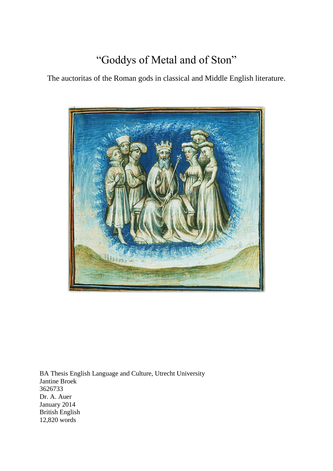# "Goddys of Metal and of Ston"

The auctoritas of the Roman gods in classical and Middle English literature.



BA Thesis English Language and Culture, Utrecht University Jantine Broek 3626733 Dr. A. Auer January 2014 British English 12,820 words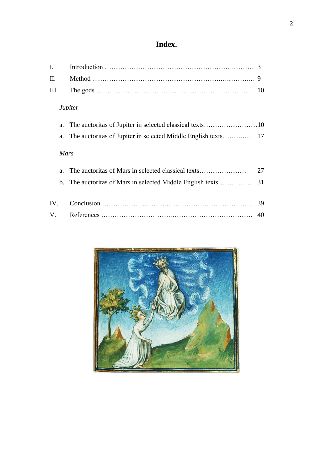# **Index.**

# *Jupiter*

# *Mars*

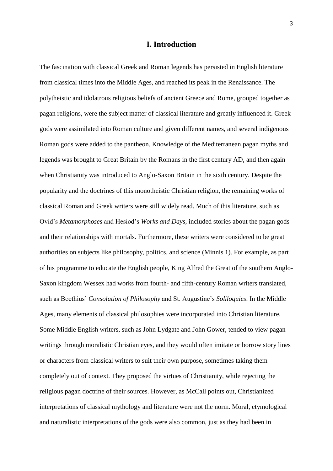## **I. Introduction**

The fascination with classical Greek and Roman legends has persisted in English literature from classical times into the Middle Ages, and reached its peak in the Renaissance. The polytheistic and idolatrous religious beliefs of ancient Greece and Rome, grouped together as pagan religions, were the subject matter of classical literature and greatly influenced it. Greek gods were assimilated into Roman culture and given different names, and several indigenous Roman gods were added to the pantheon. Knowledge of the Mediterranean pagan myths and legends was brought to Great Britain by the Romans in the first century AD, and then again when Christianity was introduced to Anglo-Saxon Britain in the sixth century. Despite the popularity and the doctrines of this monotheistic Christian religion, the remaining works of classical Roman and Greek writers were still widely read. Much of this literature, such as Ovid's *Metamorphoses* and Hesiod's *Works and Days,* included stories about the pagan gods and their relationships with mortals. Furthermore, these writers were considered to be great authorities on subjects like philosophy, politics, and science (Minnis 1). For example, as part of his programme to educate the English people, King Alfred the Great of the southern Anglo-Saxon kingdom Wessex had works from fourth- and fifth-century Roman writers translated, such as Boethius' *Consolation of Philosophy* and St. Augustine's *Soliloquies*. In the Middle Ages, many elements of classical philosophies were incorporated into Christian literature. Some Middle English writers, such as John Lydgate and John Gower, tended to view pagan writings through moralistic Christian eyes, and they would often imitate or borrow story lines or characters from classical writers to suit their own purpose, sometimes taking them completely out of context. They proposed the virtues of Christianity, while rejecting the religious pagan doctrine of their sources. However, as McCall points out, Christianized interpretations of classical mythology and literature were not the norm. Moral, etymological and naturalistic interpretations of the gods were also common, just as they had been in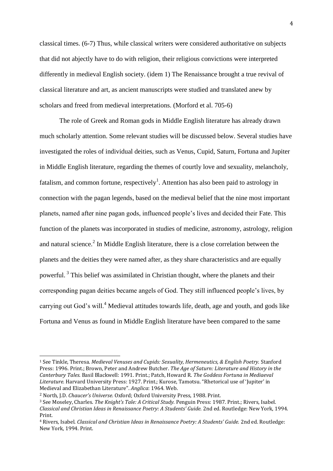classical times. (6-7) Thus, while classical writers were considered authoritative on subjects that did not abjectly have to do with religion, their religious convictions were interpreted differently in medieval English society. (idem 1) The Renaissance brought a true revival of classical literature and art, as ancient manuscripts were studied and translated anew by scholars and freed from medieval interpretations. (Morford et al. 705-6)

The role of Greek and Roman gods in Middle English literature has already drawn much scholarly attention. Some relevant studies will be discussed below. Several studies have investigated the roles of individual deities, such as Venus, Cupid, Saturn, Fortuna and Jupiter in Middle English literature, regarding the themes of courtly love and sexuality, melancholy, fatalism, and common fortune, respectively<sup>1</sup>. Attention has also been paid to astrology in connection with the pagan legends, based on the medieval belief that the nine most important planets, named after nine pagan gods, influenced people's lives and decided their Fate. This function of the planets was incorporated in studies of medicine, astronomy, astrology, religion and natural science.<sup>2</sup> In Middle English literature, there is a close correlation between the planets and the deities they were named after, as they share characteristics and are equally powerful.<sup>3</sup> This belief was assimilated in Christian thought, where the planets and their corresponding pagan deities became angels of God. They still influenced people's lives, by carrying out God's will.<sup>4</sup> Medieval attitudes towards life, death, age and youth, and gods like Fortuna and Venus as found in Middle English literature have been compared to the same

-

<sup>1</sup> See Tinkle, Theresa. *Medieval Venuses and Cupids: Sexuality, Hermeneutics, & English Poetry.* Stanford Press: 1996. Print.; Brown, Peter and Andrew Butcher. *The Age of Saturn: Literature and History in the Canterbury Tales.* Basil Blackwell: 1991. Print.; Patch, Howard R. *The Goddess Fortuna in Mediaeval Literature.* Harvard University Press: 1927. Print.; Kurose, Tamotsu. "Rhetorical use of 'Jupiter' in Medieval and Elizabethan Literature". *Anglica*: 1964. Web.

<sup>2</sup> North, J.D. *Chaucer's Universe.* Oxford; Oxford University Press, 1988. Print.

<sup>3</sup> See Moseley, Charles. *The Knight's Tale: A Critical Study.* Penguin Press: 1987. Print.; Rivers, Isabel. *Classical and Christian Ideas in Renaissance Poetry: A Students' Guide.* 2nd ed. Routledge: New York, 1994. Print.

<sup>4</sup> Rivers, Isabel. *Classical and Christian Ideas in Renaissance Poetry: A Students' Guide.* 2nd ed. Routledge: New York, 1994. Print.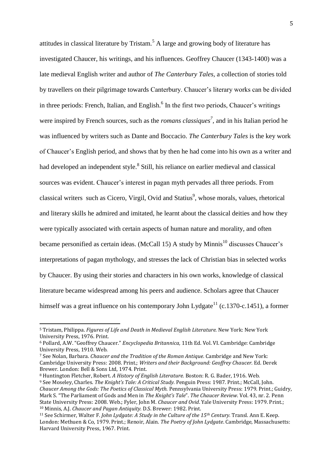attitudes in classical literature by Tristam.<sup>5</sup> A large and growing body of literature has investigated Chaucer, his writings, and his influences. Geoffrey Chaucer (1343-1400) was a late medieval English writer and author of *The Canterbury Tales,* a collection of stories told by travellers on their pilgrimage towards Canterbury. Chaucer's literary works can be divided in three periods: French, Italian, and English.<sup>6</sup> In the first two periods, Chaucer's writings were inspired by French sources, such as the *romans classiques<sup>7</sup> ,* and in his Italian period he was influenced by writers such as Dante and Boccacio. *The Canterbury Tales* is the key work of Chaucer's English period, and shows that by then he had come into his own as a writer and had developed an independent style.<sup>8</sup> Still, his reliance on earlier medieval and classical sources was evident. Chaucer's interest in pagan myth pervades all three periods. From classical writers such as Cicero, Virgil, Ovid and Statius<sup>9</sup>, whose morals, values, rhetorical and literary skills he admired and imitated, he learnt about the classical deities and how they were typically associated with certain aspects of human nature and morality, and often became personified as certain ideas. (McCall 15) A study by Minnis<sup>10</sup> discusses Chaucer's interpretations of pagan mythology, and stresses the lack of Christian bias in selected works by Chaucer. By using their stories and characters in his own works, knowledge of classical literature became widespread among his peers and audience. Scholars agree that Chaucer himself was a great influence on his contemporary John Lydgate<sup>11</sup> (c.1370-c.1451), a former

<sup>5</sup> Tristam, Philippa. *Figures of Life and Death in Medieval English Literature.* New York: New York University Press, 1976. Print.

<sup>6</sup> Pollard, A.W. "Geoffrey Chaucer." *Encyclopedia Britannica,* 11th Ed. Vol. VI. Cambridge: Cambridge University Press, 1910. Web.

<sup>7</sup> See Nolan, Barbara. *Chaucer and the Tradition of the Roman Antique.* Cambridge and New York: Cambridge University Press: 2008. Print.; *Writers and their Background: Geoffrey Chaucer.* Ed. Derek Brewer. London: Bell & Sons Ltd, 1974. Print.

<sup>8</sup> Huntington Fletcher, Robert. *A History of English Literature.* Boston: R. G. Bader, 1916. Web. <sup>9</sup> See Moseley, Charles. *The Knight's Tale: A Critical Study.* Penguin Press: 1987. Print.; McCall, John. *Chaucer Among the Gods: The Poetics of Classical Myth.* Pennsylvania University Press: 1979. Print.; Guidry, Mark S. "The Parliament of Gods and Men in *The Knight's Tale*". *The Chaucer Review*. Vol. 43, nr. 2. Penn State University Press: 2008. Web.; Fyler, John M. *Chaucer and Ovid*. Yale University Press: 1979. Print.; <sup>10</sup> Minnis, A.J. *Chaucer and Pagan Antiquity.* D.S. Brewer: 1982. Print.

<sup>11</sup> See Schirmer, Walter F. *John Lydgate: A Study in the Culture of the 15th Century.* Transl. Ann E. Keep. London: Methuen & Co, 1979. Print.; Renoir, Alain. *The Poetry of John Lydgate*. Cambridge, Massachusetts: Harvard University Press, 1967. Print.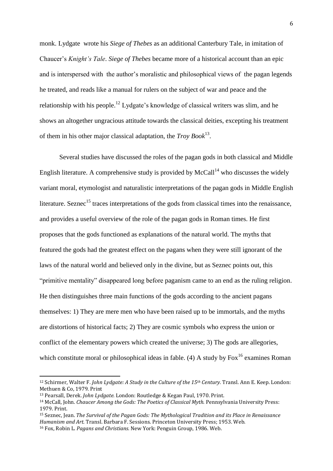monk. Lydgate wrote his *Siege of Thebes* as an additional Canterbury Tale, in imitation of Chaucer's *Knight's Tale*. *Siege of Thebes* became more of a historical account than an epic and is interspersed with the author's moralistic and philosophical views of the pagan legends he treated, and reads like a manual for rulers on the subject of war and peace and the relationship with his people.<sup>12</sup> Lydgate's knowledge of classical writers was slim, and he shows an altogether ungracious attitude towards the classical deities, excepting his treatment of them in his other major classical adaptation, the *Troy Book*<sup>13</sup> .

Several studies have discussed the roles of the pagan gods in both classical and Middle English literature. A comprehensive study is provided by McCall<sup>14</sup> who discusses the widely variant moral, etymologist and naturalistic interpretations of the pagan gods in Middle English literature. Seznec<sup>15</sup> traces interpretations of the gods from classical times into the renaissance, and provides a useful overview of the role of the pagan gods in Roman times. He first proposes that the gods functioned as explanations of the natural world. The myths that featured the gods had the greatest effect on the pagans when they were still ignorant of the laws of the natural world and believed only in the divine, but as Seznec points out, this "primitive mentality" disappeared long before paganism came to an end as the ruling religion. He then distinguishes three main functions of the gods according to the ancient pagans themselves: 1) They are mere men who have been raised up to be immortals, and the myths are distortions of historical facts; 2) They are cosmic symbols who express the union or conflict of the elementary powers which created the universe; 3) The gods are allegories, which constitute moral or philosophical ideas in fable. (4) A study by  $F\alpha x^{16}$  examines Roman

<sup>12</sup> Schirmer, Walter F. *John Lydgate: A Study in the Culture of the 15th Century.* Transl. Ann E. Keep. London: Methuen & Co, 1979. Print

<sup>13</sup> Pearsall, Derek. *John Lydgate.* London: Routledge & Kegan Paul, 1970. Print.

<sup>14</sup> McCall, John. *Chaucer Among the Gods: The Poetics of Classical Myth.* Pennsylvania University Press: 1979. Print.

<sup>15</sup> Seznec, Jean. *The Survival of the Pagan Gods: The Mythological Tradition and its Place in Renaissance Humanism and Art.* Transl. Barbara F. Sessions. Princeton University Press; 1953. Web.

<sup>16</sup> Fox, Robin L. *Pagans and Christians.* New York: Penguin Group, 1986. Web.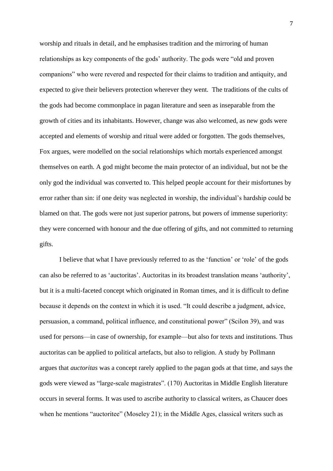worship and rituals in detail, and he emphasises tradition and the mirroring of human relationships as key components of the gods' authority. The gods were "old and proven companions" who were revered and respected for their claims to tradition and antiquity, and expected to give their believers protection wherever they went. The traditions of the cults of the gods had become commonplace in pagan literature and seen as inseparable from the growth of cities and its inhabitants. However, change was also welcomed, as new gods were accepted and elements of worship and ritual were added or forgotten. The gods themselves, Fox argues, were modelled on the social relationships which mortals experienced amongst themselves on earth. A god might become the main protector of an individual, but not be the only god the individual was converted to. This helped people account for their misfortunes by error rather than sin: if one deity was neglected in worship, the individual's hardship could be blamed on that. The gods were not just superior patrons, but powers of immense superiority: they were concerned with honour and the due offering of gifts, and not committed to returning gifts.

I believe that what I have previously referred to as the 'function' or 'role' of the gods can also be referred to as 'auctoritas'. Auctoritas in its broadest translation means 'authority', but it is a multi-faceted concept which originated in Roman times, and it is difficult to define because it depends on the context in which it is used. "It could describe a judgment, advice, persuasion, a command, political influence, and constitutional power" (Scilon 39), and was used for persons—in case of ownership, for example—but also for texts and institutions. Thus auctoritas can be applied to political artefacts, but also to religion. A study by Pollmann argues that *auctoritas* was a concept rarely applied to the pagan gods at that time, and says the gods were viewed as "large-scale magistrates". (170) Auctoritas in Middle English literature occurs in several forms. It was used to ascribe authority to classical writers, as Chaucer does when he mentions "auctoritee" (Moseley 21); in the Middle Ages, classical writers such as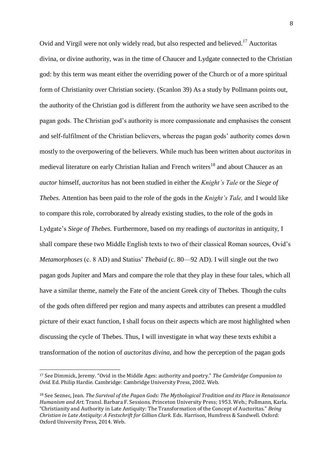Ovid and Virgil were not only widely read, but also respected and believed.<sup>17</sup> Auctoritas divina*,* or divine authority, was in the time of Chaucer and Lydgate connected to the Christian god: by this term was meant either the overriding power of the Church or of a more spiritual form of Christianity over Christian society. (Scanlon 39) As a study by Pollmann points out, the authority of the Christian god is different from the authority we have seen ascribed to the pagan gods. The Christian god's authority is more compassionate and emphasises the consent and self-fulfilment of the Christian believers, whereas the pagan gods' authority comes down mostly to the overpowering of the believers. While much has been written about *auctoritas* in medieval literature on early Christian Italian and French writers<sup>18</sup> and about Chaucer as an *auctor* himself, *auctoritas* has not been studied in either the *Knight's Tale* or the *Siege of Thebes.* Attention has been paid to the role of the gods in the *Knight's Tale,* and I would like to compare this role, corroborated by already existing studies, to the role of the gods in Lydgate's *Siege of Thebes.* Furthermore, based on my readings of *auctoritas* in antiquity, I shall compare these two Middle English texts to two of their classical Roman sources, Ovid's *Metamorphoses* (c. 8 AD) and Statius' *Thebaid* (c. 80—92 AD). I will single out the two pagan gods Jupiter and Mars and compare the role that they play in these four tales, which all have a similar theme, namely the Fate of the ancient Greek city of Thebes. Though the cults of the gods often differed per region and many aspects and attributes can present a muddled picture of their exact function, I shall focus on their aspects which are most highlighted when discussing the cycle of Thebes. Thus, I will investigate in what way these texts exhibit a transformation of the notion of *auctoritas divina,* and how the perception of the pagan gods

<sup>17</sup> See Dimmick, Jeremy. "Ovid in the Middle Ages: authority and poetry." *The Cambridge Companion to Ovid.* Ed. Philip Hardie. Cambridge: Cambridge University Press, 2002. Web.

<sup>18</sup> See Seznec, Jean. *The Survival of the Pagan Gods: The Mythological Tradition and its Place in Renaissance Humanism and Art.* Transl. Barbara F. Sessions. Princeton University Press; 1953. Web.; Pollmann, Karla. "Christianity and Authority in Late Antiquity: The Transformation of the Concept of Auctoritas." *Being Christian in Late Antiquity: A Festschrift for Gillian Clark.* Eds. Harrison, Humfress & Sandwell. Oxford: Oxford University Press, 2014. Web.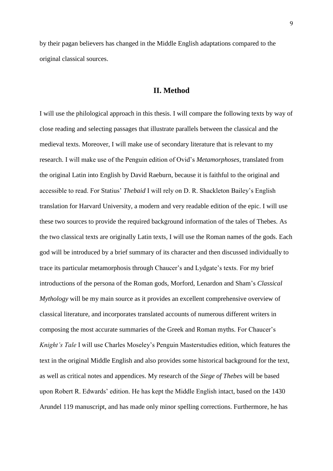by their pagan believers has changed in the Middle English adaptations compared to the original classical sources.

## **II. Method**

I will use the philological approach in this thesis. I will compare the following texts by way of close reading and selecting passages that illustrate parallels between the classical and the medieval texts. Moreover, I will make use of secondary literature that is relevant to my research. I will make use of the Penguin edition of Ovid's *Metamorphoses,* translated from the original Latin into English by David Raeburn, because it is faithful to the original and accessible to read. For Statius' *Thebaid* I will rely on D. R. Shackleton Bailey's English translation for Harvard University, a modern and very readable edition of the epic. I will use these two sources to provide the required background information of the tales of Thebes. As the two classical texts are originally Latin texts, I will use the Roman names of the gods. Each god will be introduced by a brief summary of its character and then discussed individually to trace its particular metamorphosis through Chaucer's and Lydgate's texts. For my brief introductions of the persona of the Roman gods, Morford, Lenardon and Sham's *Classical Mythology* will be my main source as it provides an excellent comprehensive overview of classical literature, and incorporates translated accounts of numerous different writers in composing the most accurate summaries of the Greek and Roman myths. For Chaucer's *Knight's Tale* I will use Charles Moseley's Penguin Masterstudies edition, which features the text in the original Middle English and also provides some historical background for the text, as well as critical notes and appendices. My research of the *Siege of Thebes* will be based upon Robert R. Edwards' edition. He has kept the Middle English intact, based on the 1430 Arundel 119 manuscript, and has made only minor spelling corrections. Furthermore, he has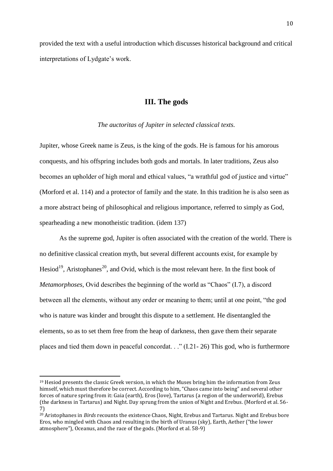provided the text with a useful introduction which discusses historical background and critical interpretations of Lydgate's work.

# **III. The gods**

#### *The auctoritas of Jupiter in selected classical texts.*

Jupiter, whose Greek name is Zeus, is the king of the gods. He is famous for his amorous conquests, and his offspring includes both gods and mortals. In later traditions, Zeus also becomes an upholder of high moral and ethical values, "a wrathful god of justice and virtue" (Morford et al. 114) and a protector of family and the state. In this tradition he is also seen as a more abstract being of philosophical and religious importance, referred to simply as God, spearheading a new monotheistic tradition. (idem 137)

As the supreme god, Jupiter is often associated with the creation of the world. There is no definitive classical creation myth, but several different accounts exist, for example by Hesiod<sup>19</sup>, Aristophanes<sup>20</sup>, and Ovid, which is the most relevant here. In the first book of *Metamorphoses, Ovid describes the beginning of the world as "Chaos" (I.7), a discord* between all the elements, without any order or meaning to them; until at one point, "the god who is nature was kinder and brought this dispute to a settlement. He disentangled the elements, so as to set them free from the heap of darkness, then gave them their separate places and tied them down in peaceful concordat. . ." (I.21- 26) This god, who is furthermore

<sup>19</sup> Hesiod presents the classic Greek version, in which the Muses bring him the information from Zeus himself, which must therefore be correct. According to him, "Chaos came into being" and several other forces of nature spring from it: Gaia (earth), Eros (love), Tartarus (a region of the underworld), Erebus (the darkness in Tartarus) and Night. Day sprung from the union of Night and Erebus. (Morford et al. 56- 7)

<sup>20</sup> Aristophanes in *Birds* recounts the existence Chaos, Night, Erebus and Tartarus. Night and Erebus bore Eros, who mingled with Chaos and resulting in the birth of Uranus (sky), Earth, Aether ("the lower atmosphere"), Oceanus, and the race of the gods. (Morford et al. 58-9)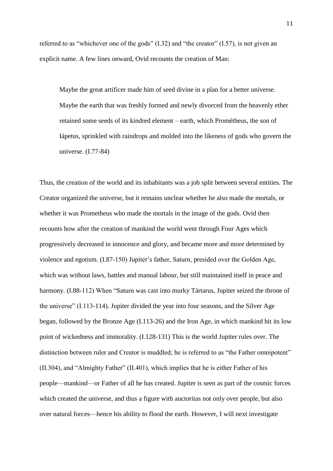referred to as "whichever one of the gods" (I.32) and "the creator" (I.57), is not given an explicit name. A few lines onward, Ovid recounts the creation of Man:

Maybe the great artificer made him of seed divine in a plan for a better universe. Maybe the earth that was freshly formed and newly divorced from the heavenly ether retained some seeds of its kindred element – earth, which Prométheus, the son of Iápetus, sprinkled with raindrops and molded into the likeness of gods who govern the universe. (I.77-84)

Thus, the creation of the world and its inhabitants was a job split between several entities. The Creator organized the universe, but it remains unclear whether he also made the mortals, or whether it was Prometheus who made the mortals in the image of the gods. Ovid then recounts how after the creation of mankind the world went through Four Ages which progressively decreased in innocence and glory, and became more and more determined by violence and egotism. (I.87-150) Jupiter's father, Saturn, presided over the Golden Age, which was without laws, battles and manual labour, but still maintained itself in peace and harmony. (I.88-112) When "Saturn was cast into murky Tártarus, Jupiter seized the throne of the universe" (I.113-114). Jupiter divided the year into four seasons, and the Silver Age began, followed by the Bronze Age (I.113-26) and the Iron Age, in which mankind hit its low point of wickedness and immorality. (I.128-131) This is the world Jupiter rules over. The distinction between ruler and Creator is muddled; he is referred to as "the Father omnipotent" (II.304), and "Almighty Father" (II.401), which implies that he is either Father of his people—mankind—or Father of all he has created. Jupiter is seen as part of the cosmic forces which created the universe, and thus a figure with auctoritas not only over people, but also over natural forces—hence his ability to flood the earth. However, I will next investigate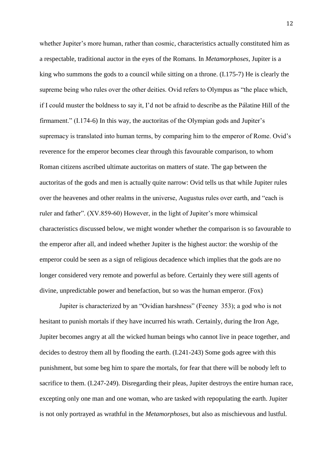whether Jupiter's more human, rather than cosmic, characteristics actually constituted him as a respectable, traditional auctor in the eyes of the Romans. In *Metamorphoses*, Jupiter is a king who summons the gods to a council while sitting on a throne. (I.175-7) He is clearly the supreme being who rules over the other deities. Ovid refers to Olympus as "the place which, if I could muster the boldness to say it, I'd not be afraid to describe as the Pálatine Hill of the firmament." (I.174-6) In this way, the auctoritas of the Olympian gods and Jupiter's supremacy is translated into human terms, by comparing him to the emperor of Rome. Ovid's reverence for the emperor becomes clear through this favourable comparison, to whom Roman citizens ascribed ultimate auctoritas on matters of state. The gap between the auctoritas of the gods and men is actually quite narrow: Ovid tells us that while Jupiter rules over the heavenes and other realms in the universe, Augustus rules over earth, and "each is ruler and father". (XV.859-60) However, in the light of Jupiter's more whimsical characteristics discussed below, we might wonder whether the comparison is so favourable to the emperor after all, and indeed whether Jupiter is the highest auctor: the worship of the emperor could be seen as a sign of religious decadence which implies that the gods are no longer considered very remote and powerful as before. Certainly they were still agents of divine, unpredictable power and benefaction, but so was the human emperor. (Fox)

Jupiter is characterized by an "Ovidian harshness" (Feeney 353); a god who is not hesitant to punish mortals if they have incurred his wrath. Certainly, during the Iron Age, Jupiter becomes angry at all the wicked human beings who cannot live in peace together, and decides to destroy them all by flooding the earth. (I.241-243) Some gods agree with this punishment, but some beg him to spare the mortals, for fear that there will be nobody left to sacrifice to them. (I.247-249). Disregarding their pleas, Jupiter destroys the entire human race, excepting only one man and one woman, who are tasked with repopulating the earth. Jupiter is not only portrayed as wrathful in the *Metamorphoses*, but also as mischievous and lustful*.*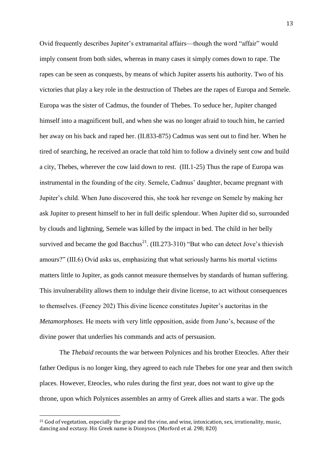Ovid frequently describes Jupiter's extramarital affairs—though the word "affair" would imply consent from both sides, whereas in many cases it simply comes down to rape. The rapes can be seen as conquests, by means of which Jupiter asserts his authority. Two of his victories that play a key role in the destruction of Thebes are the rapes of Europa and Semele. Europa was the sister of Cadmus, the founder of Thebes. To seduce her, Jupiter changed himself into a magnificent bull, and when she was no longer afraid to touch him, he carried her away on his back and raped her. (II.833-875) Cadmus was sent out to find her. When he tired of searching, he received an oracle that told him to follow a divinely sent cow and build a city, Thebes, wherever the cow laid down to rest. (III.1-25) Thus the rape of Europa was instrumental in the founding of the city. Semele, Cadmus' daughter, became pregnant with Jupiter's child. When Juno discovered this, she took her revenge on Semele by making her ask Jupiter to present himself to her in full deific splendour. When Jupiter did so, surrounded by clouds and lightning, Semele was killed by the impact in bed. The child in her belly survived and became the god Bacchus<sup>21</sup>. (III.273-310) "But who can detect Jove's thievish amours?" (III.6) Ovid asks us, emphasizing that what seriously harms his mortal victims matters little to Jupiter, as gods cannot measure themselves by standards of human suffering. This invulnerability allows them to indulge their divine license, to act without consequences to themselves. (Feeney 202) This divine licence constitutes Jupiter's auctoritas in the *Metamorphoses.* He meets with very little opposition, aside from Juno's, because of the divine power that underlies his commands and acts of persuasion.

The *Thebaid* recounts the war between Polynices and his brother Eteocles. After their father Oedipus is no longer king, they agreed to each rule Thebes for one year and then switch places. However, Eteocles, who rules during the first year, does not want to give up the throne, upon which Polynices assembles an army of Greek allies and starts a war. The gods

<sup>&</sup>lt;sup>21</sup> God of vegetation, especially the grape and the vine, and wine, intoxication, sex, irrationality, music, dancing and ecstasy. His Greek name is Dionysos. (Morford et al. 298; 820)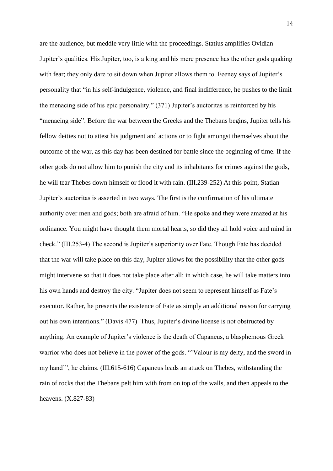are the audience, but meddle very little with the proceedings. Statius amplifies Ovidian Jupiter's qualities. His Jupiter, too, is a king and his mere presence has the other gods quaking with fear; they only dare to sit down when Jupiter allows them to. Feeney says of Jupiter's personality that "in his self-indulgence, violence, and final indifference, he pushes to the limit the menacing side of his epic personality." (371) Jupiter's auctoritas is reinforced by his "menacing side". Before the war between the Greeks and the Thebans begins, Jupiter tells his fellow deities not to attest his judgment and actions or to fight amongst themselves about the outcome of the war, as this day has been destined for battle since the beginning of time. If the other gods do not allow him to punish the city and its inhabitants for crimes against the gods, he will tear Thebes down himself or flood it with rain. (III.239-252) At this point, Statian Jupiter's auctoritas is asserted in two ways. The first is the confirmation of his ultimate authority over men and gods; both are afraid of him. "He spoke and they were amazed at his ordinance. You might have thought them mortal hearts, so did they all hold voice and mind in check." (III.253-4) The second is Jupiter's superiority over Fate. Though Fate has decided that the war will take place on this day, Jupiter allows for the possibility that the other gods might intervene so that it does not take place after all; in which case, he will take matters into his own hands and destroy the city. "Jupiter does not seem to represent himself as Fate's executor. Rather, he presents the existence of Fate as simply an additional reason for carrying out his own intentions." (Davis 477) Thus, Jupiter's divine license is not obstructed by anything. An example of Jupiter's violence is the death of Capaneus, a blasphemous Greek warrior who does not believe in the power of the gods. "'Valour is my deity, and the sword in my hand'", he claims. (III.615-616) Capaneus leads an attack on Thebes, withstanding the rain of rocks that the Thebans pelt him with from on top of the walls, and then appeals to the heavens. (X.827-83)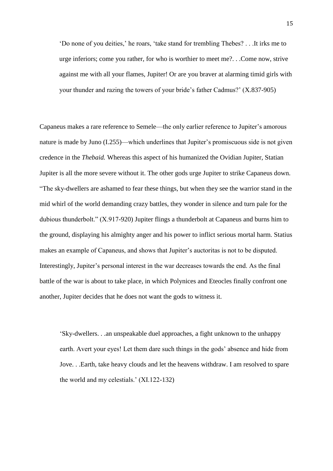'Do none of you deities,' he roars, 'take stand for trembling Thebes? . . .It irks me to urge inferiors; come you rather, for who is worthier to meet me?. . .Come now, strive against me with all your flames, Jupiter! Or are you braver at alarming timid girls with your thunder and razing the towers of your bride's father Cadmus?' (X.837-905)

Capaneus makes a rare reference to Semele—the only earlier reference to Jupiter's amorous nature is made by Juno (I.255)—which underlines that Jupiter's promiscuous side is not given credence in the *Thebaid.* Whereas this aspect of his humanized the Ovidian Jupiter, Statian Jupiter is all the more severe without it. The other gods urge Jupiter to strike Capaneus down. "The sky-dwellers are ashamed to fear these things, but when they see the warrior stand in the mid whirl of the world demanding crazy battles, they wonder in silence and turn pale for the dubious thunderbolt." (X.917-920) Jupiter flings a thunderbolt at Capaneus and burns him to the ground, displaying his almighty anger and his power to inflict serious mortal harm. Statius makes an example of Capaneus, and shows that Jupiter's auctoritas is not to be disputed. Interestingly, Jupiter's personal interest in the war decreases towards the end. As the final battle of the war is about to take place, in which Polynices and Eteocles finally confront one another, Jupiter decides that he does not want the gods to witness it.

'Sky-dwellers. . .an unspeakable duel approaches, a fight unknown to the unhappy earth. Avert your eyes! Let them dare such things in the gods' absence and hide from Jove. . .Earth, take heavy clouds and let the heavens withdraw. I am resolved to spare the world and my celestials.' (XI.122-132)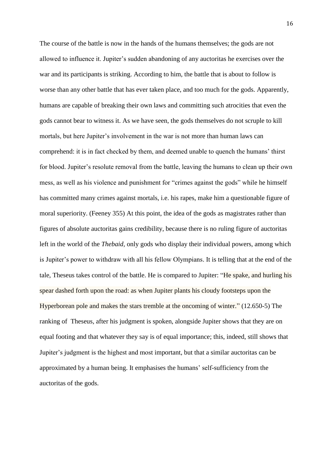The course of the battle is now in the hands of the humans themselves; the gods are not allowed to influence it. Jupiter's sudden abandoning of any auctoritas he exercises over the war and its participants is striking. According to him, the battle that is about to follow is worse than any other battle that has ever taken place, and too much for the gods. Apparently, humans are capable of breaking their own laws and committing such atrocities that even the gods cannot bear to witness it. As we have seen, the gods themselves do not scruple to kill mortals, but here Jupiter's involvement in the war is not more than human laws can comprehend: it is in fact checked by them, and deemed unable to quench the humans' thirst for blood. Jupiter's resolute removal from the battle, leaving the humans to clean up their own mess, as well as his violence and punishment for "crimes against the gods" while he himself has committed many crimes against mortals, i.e. his rapes, make him a questionable figure of moral superiority. (Feeney 355) At this point, the idea of the gods as magistrates rather than figures of absolute auctoritas gains credibility, because there is no ruling figure of auctoritas left in the world of the *Thebaid,* only gods who display their individual powers, among which is Jupiter's power to withdraw with all his fellow Olympians. It is telling that at the end of the tale, Theseus takes control of the battle. He is compared to Jupiter: "He spake, and hurling his spear dashed forth upon the road: as when Jupiter plants his cloudy footsteps upon the Hyperborean pole and makes the stars tremble at the oncoming of winter." (12.650-5) The ranking of Theseus*,* after his judgment is spoken, alongside Jupiter shows that they are on equal footing and that whatever they say is of equal importance; this, indeed, still shows that Jupiter's judgment is the highest and most important, but that a similar auctoritas can be approximated by a human being. It emphasises the humans' self-sufficiency from the auctoritas of the gods.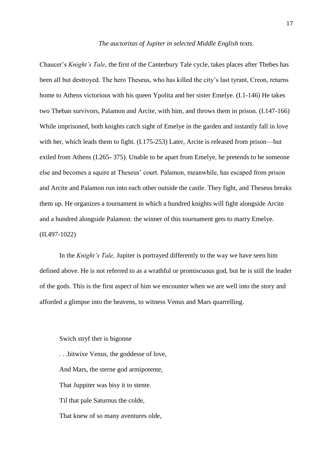#### *The auctoritas of Jupiter in selected Middle English texts.*

Chaucer's *Knight's Tale*, the first of the Canterbury Tale cycle, takes places after Thebes has been all but destroyed. The hero Theseus, who has killed the city's last tyrant, Creon, returns home to Athens victorious with his queen Ypolita and her sister Emelye. (I.1-146) He takes two Theban survivors, Palamon and Arcite, with him, and throws them in prison. (I.147-166) While imprisoned, both knights catch sight of Emelye in the garden and instantly fall in love with her, which leads them to fight. (I.175-253) Later, Arcite is released from prison—but exiled from Athens (I.265- 375). Unable to be apart from Emelye, he pretends to be someone else and becomes a squire at Theseus' court. Palamon, meanwhile, has escaped from prison and Arcite and Palamon run into each other outside the castle. They fight, and Theseus breaks them up. He organizes a tournament in which a hundred knights will fight alongside Arcite and a hundred alongside Palamon: the winner of this tournament gets to marry Emelye. (II.497-1022)

In the *Knight's Tale,* Jupiter is portrayed differently to the way we have seen him defined above. He is not referred to as a wrathful or promiscuous god, but he is still the leader of the gods. This is the first aspect of him we encounter when we are well into the story and afforded a glimpse into the heavens, to witness Venus and Mars quarrelling.

Swich stryf ther is bigonne . . .bitwixe Venus, the goddesse of love, And Mars, the sterne god armipotente, That Juppiter was bisy it to stente. Til that pale Saturnus the colde, That knew of so many aventures olde,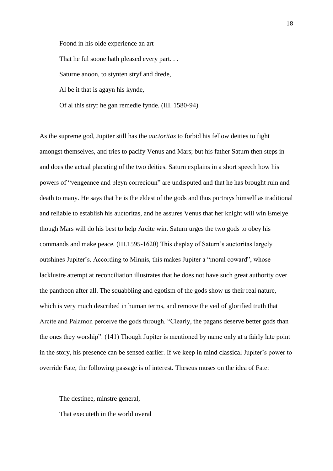Foond in his olde experience an art That he ful soone hath pleased every part... Saturne anoon, to stynten stryf and drede, Al be it that is agayn his kynde, Of al this stryf he gan remedie fynde. (III. 1580-94)

As the supreme god, Jupiter still has the *auctoritas* to forbid his fellow deities to fight amongst themselves, and tries to pacify Venus and Mars; but his father Saturn then steps in and does the actual placating of the two deities. Saturn explains in a short speech how his powers of "vengeance and pleyn correcioun" are undisputed and that he has brought ruin and death to many. He says that he is the eldest of the gods and thus portrays himself as traditional and reliable to establish his auctoritas, and he assures Venus that her knight will win Emelye though Mars will do his best to help Arcite win. Saturn urges the two gods to obey his commands and make peace. (III.1595-1620) This display of Saturn's auctoritas largely outshines Jupiter's. According to Minnis, this makes Jupiter a "moral coward", whose lacklustre attempt at reconciliation illustrates that he does not have such great authority over the pantheon after all. The squabbling and egotism of the gods show us their real nature, which is very much described in human terms, and remove the veil of glorified truth that Arcite and Palamon perceive the gods through. "Clearly, the pagans deserve better gods than the ones they worship". (141) Though Jupiter is mentioned by name only at a fairly late point in the story, his presence can be sensed earlier. If we keep in mind classical Jupiter's power to override Fate, the following passage is of interest. Theseus muses on the idea of Fate:

The destinee, minstre general, That executeth in the world overal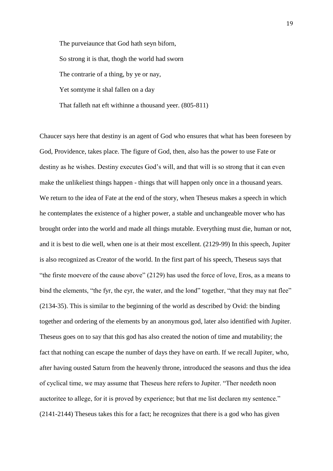The purveiaunce that God hath seyn biforn, So strong it is that, thogh the world had sworn The contrarie of a thing, by ye or nay, Yet somtyme it shal fallen on a day That falleth nat eft withinne a thousand yeer. (805-811)

Chaucer says here that destiny is an agent of God who ensures that what has been foreseen by God, Providence, takes place. The figure of God, then, also has the power to use Fate or destiny as he wishes. Destiny executes God's will, and that will is so strong that it can even make the unlikeliest things happen - things that will happen only once in a thousand years. We return to the idea of Fate at the end of the story, when Theseus makes a speech in which he contemplates the existence of a higher power, a stable and unchangeable mover who has brought order into the world and made all things mutable. Everything must die, human or not, and it is best to die well, when one is at their most excellent. (2129-99) In this speech, Jupiter is also recognized as Creator of the world. In the first part of his speech, Theseus says that "the firste moevere of the cause above" (2129) has used the force of love, Eros, as a means to bind the elements, "the fyr, the eyr, the water, and the lond" together, "that they may nat flee" (2134-35). This is similar to the beginning of the world as described by Ovid: the binding together and ordering of the elements by an anonymous god, later also identified with Jupiter. Theseus goes on to say that this god has also created the notion of time and mutability; the fact that nothing can escape the number of days they have on earth. If we recall Jupiter, who, after having ousted Saturn from the heavenly throne, introduced the seasons and thus the idea of cyclical time, we may assume that Theseus here refers to Jupiter. "Ther needeth noon auctoritee to allege, for it is proved by experience; but that me list declaren my sentence." (2141-2144) Theseus takes this for a fact; he recognizes that there is a god who has given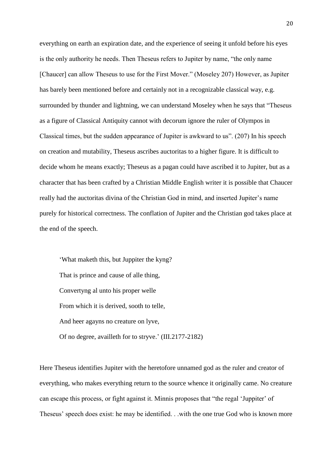everything on earth an expiration date, and the experience of seeing it unfold before his eyes is the only authority he needs. Then Theseus refers to Jupiter by name, "the only name [Chaucer] can allow Theseus to use for the First Mover." (Moseley 207) However, as Jupiter has barely been mentioned before and certainly not in a recognizable classical way, e.g. surrounded by thunder and lightning, we can understand Moseley when he says that "Theseus as a figure of Classical Antiquity cannot with decorum ignore the ruler of Olympos in Classical times, but the sudden appearance of Jupiter is awkward to us". (207) In his speech on creation and mutability, Theseus ascribes auctoritas to a higher figure. It is difficult to decide whom he means exactly; Theseus as a pagan could have ascribed it to Jupiter, but as a character that has been crafted by a Christian Middle English writer it is possible that Chaucer really had the auctoritas divina of the Christian God in mind, and inserted Jupiter's name purely for historical correctness. The conflation of Jupiter and the Christian god takes place at the end of the speech.

'What maketh this, but Juppiter the kyng? That is prince and cause of alle thing, Convertyng al unto his proper welle From which it is derived, sooth to telle, And heer agayns no creature on lyve, Of no degree, availleth for to stryve.' (III.2177-2182)

Here Theseus identifies Jupiter with the heretofore unnamed god as the ruler and creator of everything, who makes everything return to the source whence it originally came. No creature can escape this process, or fight against it. Minnis proposes that "the regal 'Juppiter' of Theseus' speech does exist: he may be identified. . .with the one true God who is known more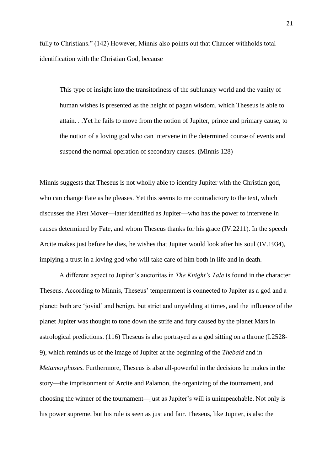fully to Christians." (142) However, Minnis also points out that Chaucer withholds total identification with the Christian God, because

This type of insight into the transitoriness of the sublunary world and the vanity of human wishes is presented as the height of pagan wisdom, which Theseus is able to attain. . .Yet he fails to move from the notion of Jupiter, prince and primary cause, to the notion of a loving god who can intervene in the determined course of events and suspend the normal operation of secondary causes. (Minnis 128)

Minnis suggests that Theseus is not wholly able to identify Jupiter with the Christian god, who can change Fate as he pleases. Yet this seems to me contradictory to the text, which discusses the First Mover—later identified as Jupiter—who has the power to intervene in causes determined by Fate, and whom Theseus thanks for his grace (IV.2211). In the speech Arcite makes just before he dies, he wishes that Jupiter would look after his soul (IV.1934), implying a trust in a loving god who will take care of him both in life and in death.

A different aspect to Jupiter's auctoritas in *The Knight's Tale* is found in the character Theseus. According to Minnis, Theseus' temperament is connected to Jupiter as a god and a planet: both are 'jovial' and benign, but strict and unyielding at times, and the influence of the planet Jupiter was thought to tone down the strife and fury caused by the planet Mars in astrological predictions. (116) Theseus is also portrayed as a god sitting on a throne (I.2528- 9), which reminds us of the image of Jupiter at the beginning of the *Thebaid* and in *Metamorphoses.* Furthermore, Theseus is also all-powerful in the decisions he makes in the story—the imprisonment of Arcite and Palamon, the organizing of the tournament, and choosing the winner of the tournament—just as Jupiter's will is unimpeachable. Not only is his power supreme, but his rule is seen as just and fair. Theseus, like Jupiter, is also the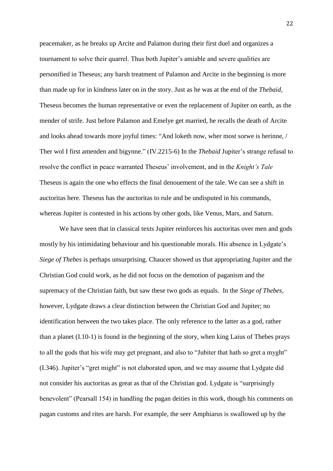peacemaker, as he breaks up Arcite and Palamon during their first duel and organizes a tournament to solve their quarrel. Thus both Jupiter's amiable and severe qualities are personified in Theseus; any harsh treatment of Palamon and Arcite in the beginning is more than made up for in kindness later on in the story. Just as he was at the end of the *Thebaid,*  Theseus becomes the human representative or even the replacement of Jupiter on earth, as the mender of strife. Just before Palamon and Emelye get married, he recalls the death of Arcite and looks ahead towards more joyful times: "And loketh now, wher most sorwe is herinne, / Ther wol I first amenden and bigynne." (IV.2215-6) In the *Thebaid* Jupiter's strange refusal to resolve the conflict in peace warranted Theseus' involvement, and in the *Knight's Tale*  Theseus is again the one who effects the final denouement of the tale. We can see a shift in auctoritas here. Theseus has the auctoritas to rule and be undisputed in his commands, whereas Jupiter is contested in his actions by other gods, like Venus, Mars, and Saturn.

We have seen that in classical texts Jupiter reinforces his auctoritas over men and gods mostly by his intimidating behaviour and his questionable morals. His absence in Lydgate's *Siege of Thebes* is perhaps unsurprising. Chaucer showed us that appropriating Jupiter and the Christian God could work, as he did not focus on the demotion of paganism and the supremacy of the Christian faith, but saw these two gods as equals. In the *Siege of Thebes*, however, Lydgate draws a clear distinction between the Christian God and Jupiter; no identification between the two takes place. The only reference to the latter as a god, rather than a planet (I.10-1) is found in the beginning of the story, when king Laius of Thebes prays to all the gods that his wife may get pregnant, and also to "Jubiter that hath so gret a myght" (I.346). Jupiter's "gret might" is not elaborated upon, and we may assume that Lydgate did not consider his auctoritas as great as that of the Christian god. Lydgate is "surprisingly benevolent" (Pearsall 154) in handling the pagan deities in this work, though his comments on pagan customs and rites are harsh. For example, the seer Amphiarus is swallowed up by the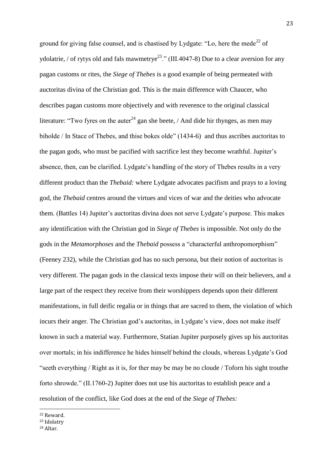ground for giving false counsel, and is chastised by Lydgate: "Lo, here the mede<sup>22</sup> of ydolatrie, / of rytys old and fals mawmetrye<sup>23</sup>." (III.4047-8) Due to a clear aversion for any pagan customs or rites, the *Siege of Thebes* is a good example of being permeated with auctoritas divina of the Christian god. This is the main difference with Chaucer, who describes pagan customs more objectively and with reverence to the original classical literature: "Two fyres on the auter<sup>24</sup> gan she beete, / And dide hir thynges, as men may biholde / In Stace of Thebes, and thise bokes olde" (1434-6) and thus ascribes auctoritas to the pagan gods, who must be pacified with sacrifice lest they become wrathful. Jupiter's absence, then, can be clarified. Lydgate's handling of the story of Thebes results in a very different product than the *Thebaid:* where Lydgate advocates pacifism and prays to a loving god, the *Thebaid* centres around the virtues and vices of war and the deities who advocate them. (Battles 14) Jupiter's auctoritas divina does not serve Lydgate's purpose. This makes any identification with the Christian god in *Siege of Thebes* is impossible. Not only do the gods in the *Metamorphoses* and the *Thebaid* possess a "characterful anthropomorphism" (Feeney 232), while the Christian god has no such persona, but their notion of auctoritas is very different. The pagan gods in the classical texts impose their will on their believers, and a large part of the respect they receive from their worshippers depends upon their different manifestations, in full deific regalia or in things that are sacred to them, the violation of which incurs their anger. The Christian god's auctoritas, in Lydgate's view, does not make itself known in such a material way. Furthermore, Statian Jupiter purposely gives up his auctoritas over mortals; in his indifference he hides himself behind the clouds, whereas Lydgate's God "seeth everything / Right as it is, for ther may be may be no cloude / Toforn his sight trouthe forto shrowde." (II.1760-2) Jupiter does not use his auctoritas to establish peace and a resolution of the conflict, like God does at the end of the *Siege of Thebes:* 

<sup>22</sup> Reward.

<sup>23</sup> Idolatry

<sup>24</sup> Altar.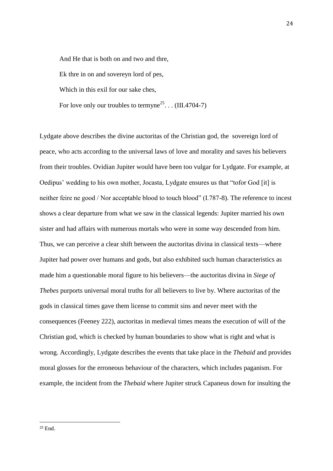And He that is both on and two and thre, Ek thre in on and sovereyn lord of pes, Which in this exil for our sake ches. For love only our troubles to termyne<sup>25</sup>... (III.4704-7)

Lydgate above describes the divine auctoritas of the Christian god, the sovereign lord of peace, who acts according to the universal laws of love and morality and saves his believers from their troubles. Ovidian Jupiter would have been too vulgar for Lydgate. For example, at Oedipus' wedding to his own mother, Jocasta, Lydgate ensures us that "tofor God [it] is neither feire ne good / Nor acceptable blood to touch blood" (I.787-8). The reference to incest shows a clear departure from what we saw in the classical legends: Jupiter married his own sister and had affairs with numerous mortals who were in some way descended from him. Thus, we can perceive a clear shift between the auctoritas divina in classical texts—where Jupiter had power over humans and gods, but also exhibited such human characteristics as made him a questionable moral figure to his believers—the auctoritas divina in *Siege of Thebes* purports universal moral truths for all believers to live by. Where auctoritas of the gods in classical times gave them license to commit sins and never meet with the consequences (Feeney 222), auctoritas in medieval times means the execution of will of the Christian god, which is checked by human boundaries to show what is right and what is wrong. Accordingly, Lydgate describes the events that take place in the *Thebaid* and provides moral glosses for the erroneous behaviour of the characters, which includes paganism. For example, the incident from the *Thebaid* where Jupiter struck Capaneus down for insulting the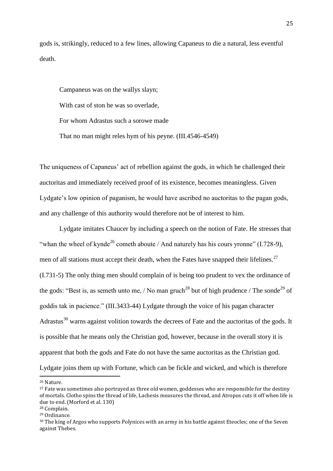gods is, strikingly, reduced to a few lines, allowing Capaneus to die a natural, less eventful death.

Campaneus was on the wallys slayn; With cast of ston he was so overlade. For whom Adrastus such a sorowe made That no man might reles hym of his peyne. (III.4546-4549)

The uniqueness of Capaneus' act of rebellion against the gods, in which he challenged their auctoritas and immediately received proof of its existence, becomes meaningless. Given Lydgate's low opinion of paganism, he would have ascribed no auctoritas to the pagan gods, and any challenge of this authority would therefore not be of interest to him.

Lydgate imitates Chaucer by including a speech on the notion of Fate. He stresses that "whan the wheel of kynde<sup>26</sup> cometh aboute / And naturely has his cours yronne" (I.728-9), men of all stations must accept their death, when the Fates have snapped their lifelines. $^{27}$ (I.731-5) The only thing men should complain of is being too prudent to vex the ordinance of the gods: "Best is, as semeth unto me, / No man gruch<sup>28</sup> but of high prudence / The sonde<sup>29</sup> of goddis tak in pacience." (III.3433-44) Lydgate through the voice of his pagan character Adrastus $30$  warns against volition towards the decrees of Fate and the auctoritas of the gods. It is possible that he means only the Christian god, however, because in the overall story it is apparent that both the gods and Fate do not have the same auctoritas as the Christian god. Lydgate joins them up with Fortune, which can be fickle and wicked, and which is therefore

<sup>26</sup> Nature.

<sup>&</sup>lt;sup>27</sup> Fate was sometimes also portrayed as three old women, goddesses who are responsible for the destiny of mortals. Clotho spins the thread of life, Lachesis measures the thread, and Atropos cuts it off when life is due to end. (Morford et al. 130)

<sup>28</sup> Complain.

<sup>29</sup> Ordinance.

<sup>30</sup> The king of Argos who supports Polynices with an army in his battle against Eteocles; one of the Seven against Thebes.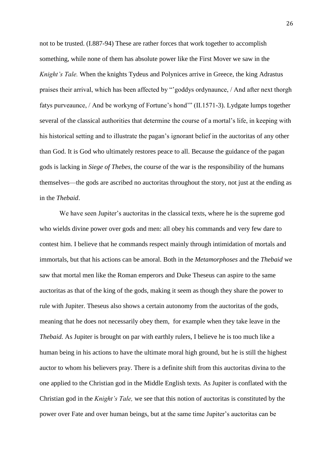not to be trusted. (I.887-94) These are rather forces that work together to accomplish something, while none of them has absolute power like the First Mover we saw in the *Knight's Tale.* When the knights Tydeus and Polynices arrive in Greece, the king Adrastus praises their arrival, which has been affected by "'goddys ordynaunce, / And after next thorgh fatys purveaunce, / And be workyng of Fortune's hond'" (II.1571-3). Lydgate lumps together several of the classical authorities that determine the course of a mortal's life, in keeping with his historical setting and to illustrate the pagan's ignorant belief in the auctoritas of any other than God. It is God who ultimately restores peace to all. Because the guidance of the pagan gods is lacking in *Siege of Thebes*, the course of the war is the responsibility of the humans themselves—the gods are ascribed no auctoritas throughout the story, not just at the ending as in the *Thebaid*.

We have seen Jupiter's auctoritas in the classical texts, where he is the supreme god who wields divine power over gods and men: all obey his commands and very few dare to contest him. I believe that he commands respect mainly through intimidation of mortals and immortals, but that his actions can be amoral. Both in the *Metamorphoses* and the *Thebaid* we saw that mortal men like the Roman emperors and Duke Theseus can aspire to the same auctoritas as that of the king of the gods, making it seem as though they share the power to rule with Jupiter. Theseus also shows a certain autonomy from the auctoritas of the gods, meaning that he does not necessarily obey them, for example when they take leave in the *Thebaid.* As Jupiter is brought on par with earthly rulers, I believe he is too much like a human being in his actions to have the ultimate moral high ground, but he is still the highest auctor to whom his believers pray. There is a definite shift from this auctoritas divina to the one applied to the Christian god in the Middle English texts. As Jupiter is conflated with the Christian god in the *Knight's Tale,* we see that this notion of auctoritas is constituted by the power over Fate and over human beings, but at the same time Jupiter's auctoritas can be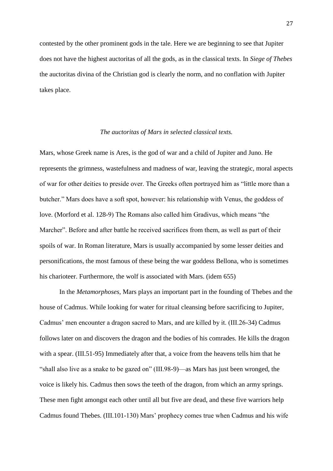contested by the other prominent gods in the tale. Here we are beginning to see that Jupiter does not have the highest auctoritas of all the gods, as in the classical texts. In *Siege of Thebes*  the auctoritas divina of the Christian god is clearly the norm, and no conflation with Jupiter takes place.

#### *The auctoritas of Mars in selected classical texts.*

Mars, whose Greek name is Ares, is the god of war and a child of Jupiter and Juno. He represents the grimness, wastefulness and madness of war, leaving the strategic, moral aspects of war for other deities to preside over. The Greeks often portrayed him as "little more than a butcher." Mars does have a soft spot, however: his relationship with Venus, the goddess of love. (Morford et al. 128-9) The Romans also called him Gradivus, which means "the Marcher". Before and after battle he received sacrifices from them, as well as part of their spoils of war. In Roman literature, Mars is usually accompanied by some lesser deities and personifications, the most famous of these being the war goddess Bellona, who is sometimes his charioteer. Furthermore, the wolf is associated with Mars. (idem 655)

In the *Metamorphoses,* Mars plays an important part in the founding of Thebes and the house of Cadmus. While looking for water for ritual cleansing before sacrificing to Jupiter, Cadmus' men encounter a dragon sacred to Mars, and are killed by it. (III.26-34) Cadmus follows later on and discovers the dragon and the bodies of his comrades. He kills the dragon with a spear. (III.51-95) Immediately after that, a voice from the heavens tells him that he "shall also live as a snake to be gazed on" (III.98-9)—as Mars has just been wronged, the voice is likely his. Cadmus then sows the teeth of the dragon, from which an army springs. These men fight amongst each other until all but five are dead, and these five warriors help Cadmus found Thebes. (III.101-130) Mars' prophecy comes true when Cadmus and his wife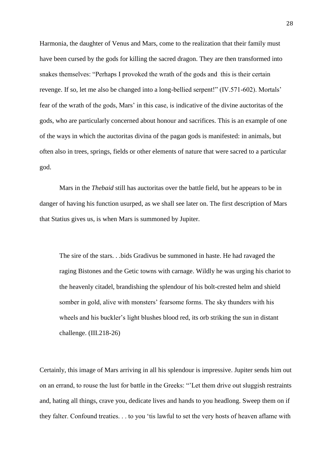Harmonia, the daughter of Venus and Mars, come to the realization that their family must have been cursed by the gods for killing the sacred dragon. They are then transformed into snakes themselves: "Perhaps I provoked the wrath of the gods and this is their certain revenge. If so, let me also be changed into a long-bellied serpent!" (IV.571-602). Mortals' fear of the wrath of the gods, Mars' in this case, is indicative of the divine auctoritas of the gods, who are particularly concerned about honour and sacrifices. This is an example of one of the ways in which the auctoritas divina of the pagan gods is manifested: in animals, but often also in trees, springs, fields or other elements of nature that were sacred to a particular god.

Mars in the *Thebaid* still has auctoritas over the battle field, but he appears to be in danger of having his function usurped, as we shall see later on. The first description of Mars that Statius gives us, is when Mars is summoned by Jupiter.

The sire of the stars. . .bids Gradivus be summoned in haste. He had ravaged the raging Bistones and the Getic towns with carnage. Wildly he was urging his chariot to the heavenly citadel, brandishing the splendour of his bolt-crested helm and shield somber in gold, alive with monsters' fearsome forms. The sky thunders with his wheels and his buckler's light blushes blood red, its orb striking the sun in distant challenge. (III.218-26)

Certainly, this image of Mars arriving in all his splendour is impressive. Jupiter sends him out on an errand, to rouse the lust for battle in the Greeks: "'Let them drive out sluggish restraints and, hating all things, crave you, dedicate lives and hands to you headlong. Sweep them on if they falter. Confound treaties. . . to you 'tis lawful to set the very hosts of heaven aflame with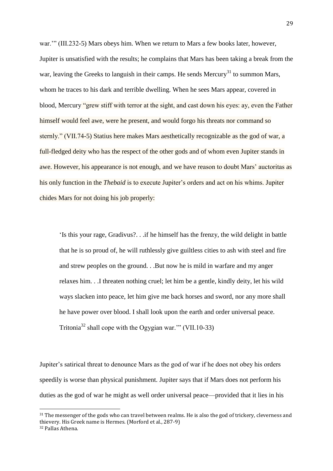war.'" (III.232-5) Mars obeys him. When we return to Mars a few books later, however, Jupiter is unsatisfied with the results; he complains that Mars has been taking a break from the war, leaving the Greeks to languish in their camps. He sends Mercury<sup>31</sup> to summon Mars, whom he traces to his dark and terrible dwelling. When he sees Mars appear, covered in blood, Mercury "grew stiff with terror at the sight, and cast down his eyes: ay, even the Father himself would feel awe, were he present, and would forgo his threats nor command so sternly." (VII.74-5) Statius here makes Mars aesthetically recognizable as the god of war, a full-fledged deity who has the respect of the other gods and of whom even Jupiter stands in awe. However, his appearance is not enough, and we have reason to doubt Mars' auctoritas as his only function in the *Thebaid* is to execute Jupiter's orders and act on his whims. Jupiter chides Mars for not doing his job properly:

'Is this your rage, Gradivus?. . .if he himself has the frenzy, the wild delight in battle that he is so proud of, he will ruthlessly give guiltless cities to ash with steel and fire and strew peoples on the ground. . .But now he is mild in warfare and my anger relaxes him. . .I threaten nothing cruel; let him be a gentle, kindly deity, let his wild ways slacken into peace, let him give me back horses and sword, nor any more shall he have power over blood. I shall look upon the earth and order universal peace. Tritonia<sup>32</sup> shall cope with the Ogygian war." (VII.10-33)

Jupiter's satirical threat to denounce Mars as the god of war if he does not obey his orders speedily is worse than physical punishment. Jupiter says that if Mars does not perform his duties as the god of war he might as well order universal peace—provided that it lies in his

<sup>&</sup>lt;sup>31</sup> The messenger of the gods who can travel between realms. He is also the god of trickery, cleverness and thievery. His Greek name is Hermes. (Morford et al., 287-9) <sup>32</sup> Pallas Athena.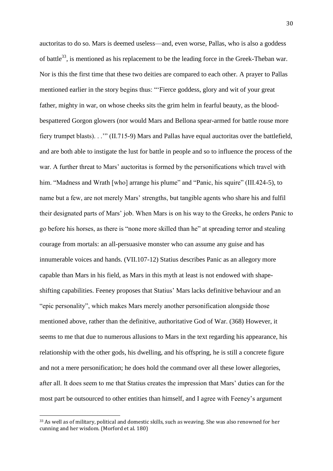auctoritas to do so. Mars is deemed useless—and, even worse, Pallas, who is also a goddess of battle<sup>33</sup>, is mentioned as his replacement to be the leading force in the Greek-Theban war. Nor is this the first time that these two deities are compared to each other. A prayer to Pallas mentioned earlier in the story begins thus: "'Fierce goddess, glory and wit of your great father, mighty in war, on whose cheeks sits the grim helm in fearful beauty, as the bloodbespattered Gorgon glowers (nor would Mars and Bellona spear-armed for battle rouse more fiery trumpet blasts). . .'" (II.715-9) Mars and Pallas have equal auctoritas over the battlefield, and are both able to instigate the lust for battle in people and so to influence the process of the war. A further threat to Mars' auctoritas is formed by the personifications which travel with him. "Madness and Wrath [who] arrange his plume" and "Panic, his squire" (III.424-5), to name but a few, are not merely Mars' strengths, but tangible agents who share his and fulfil their designated parts of Mars' job. When Mars is on his way to the Greeks, he orders Panic to go before his horses, as there is "none more skilled than he" at spreading terror and stealing courage from mortals: an all-persuasive monster who can assume any guise and has innumerable voices and hands. (VII.107-12) Statius describes Panic as an allegory more capable than Mars in his field, as Mars in this myth at least is not endowed with shapeshifting capabilities. Feeney proposes that Statius' Mars lacks definitive behaviour and an "epic personality", which makes Mars merely another personification alongside those mentioned above, rather than the definitive, authoritative God of War. (368) However, it seems to me that due to numerous allusions to Mars in the text regarding his appearance, his relationship with the other gods, his dwelling, and his offspring, he is still a concrete figure and not a mere personification; he does hold the command over all these lower allegories, after all. It does seem to me that Statius creates the impression that Mars' duties can for the most part be outsourced to other entities than himself, and I agree with Feeney's argument

<sup>33</sup> As well as of military, political and domestic skills, such as weaving. She was also renowned for her cunning and her wisdom. (Morford et al. 180)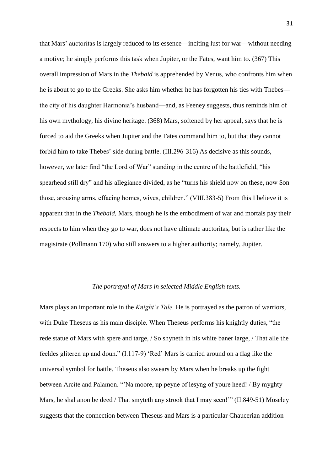that Mars' auctoritas is largely reduced to its essence—inciting lust for war—without needing a motive; he simply performs this task when Jupiter, or the Fates, want him to. (367) This overall impression of Mars in the *Thebaid* is apprehended by Venus, who confronts him when he is about to go to the Greeks. She asks him whether he has forgotten his ties with Thebes the city of his daughter Harmonia's husband—and, as Feeney suggests, thus reminds him of his own mythology, his divine heritage. (368) Mars, softened by her appeal, says that he is forced to aid the Greeks when Jupiter and the Fates command him to, but that they cannot forbid him to take Thebes' side during battle. (III.296-316) As decisive as this sounds, however, we later find "the Lord of War" standing in the centre of the battlefield, "his spearhead still dry" and his allegiance divided, as he "turns his shield now on these, now \$on those, arousing arms, effacing homes, wives, children." (VIII.383-5) From this I believe it is apparent that in the *Thebaid,* Mars, though he is the embodiment of war and mortals pay their respects to him when they go to war, does not have ultimate auctoritas, but is rather like the magistrate (Pollmann 170) who still answers to a higher authority; namely, Jupiter.

#### *The portrayal of Mars in selected Middle English texts.*

Mars plays an important role in the *Knight's Tale.* He is portrayed as the patron of warriors, with Duke Theseus as his main disciple. When Theseus performs his knightly duties, "the rede statue of Mars with spere and targe, / So shyneth in his white baner large, / That alle the feeldes gliteren up and doun." (I.117-9) 'Red' Mars is carried around on a flag like the universal symbol for battle. Theseus also swears by Mars when he breaks up the fight between Arcite and Palamon. "'Na moore, up peyne of lesyng of youre heed! / By myghty Mars, he shal anon be deed / That smyteth any strook that I may seen!"" (II.849-51) Moseley suggests that the connection between Theseus and Mars is a particular Chaucerian addition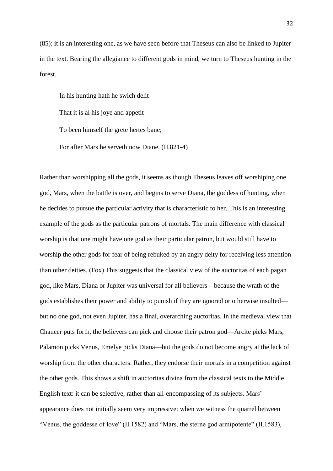(85): it is an interesting one, as we have seen before that Theseus can also be linked to Jupiter in the text. Bearing the allegiance to different gods in mind, we turn to Theseus hunting in the forest.

In his hunting hath he swich delit That it is al his joye and appetit To been himself the grete hertes bane; For after Mars he serveth now Diane. (II.821-4)

Rather than worshipping all the gods, it seems as though Theseus leaves off worshiping one god, Mars, when the battle is over, and begins to serve Diana, the goddess of hunting, when he decides to pursue the particular activity that is characteristic to her. This is an interesting example of the gods as the particular patrons of mortals. The main difference with classical worship is that one might have one god as their particular patron, but would still have to worship the other gods for fear of being rebuked by an angry deity for receiving less attention than other deities. (Fox) This suggests that the classical view of the auctoritas of each pagan god, like Mars, Diana or Jupiter was universal for all believers—because the wrath of the gods establishes their power and ability to punish if they are ignored or otherwise insulted but no one god, not even Jupiter, has a final, overarching auctoritas. In the medieval view that Chaucer puts forth, the believers can pick and choose their patron god—Arcite picks Mars, Palamon picks Venus, Emelye picks Diana—but the gods do not become angry at the lack of worship from the other characters. Rather, they endorse their mortals in a competition against the other gods. This shows a shift in auctoritas divina from the classical texts to the Middle English text: it can be selective, rather than all-encompassing of its subjects. Mars' appearance does not initially seem very impressive: when we witness the quarrel between "Venus, the goddesse of love" (II.1582) and "Mars, the sterne god armipotente" (II.1583),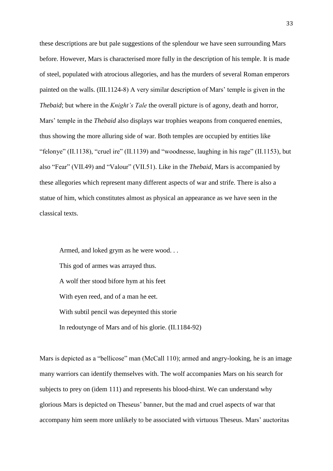these descriptions are but pale suggestions of the splendour we have seen surrounding Mars before. However, Mars is characterised more fully in the description of his temple. It is made of steel, populated with atrocious allegories, and has the murders of several Roman emperors painted on the walls. (III.1124-8) A very similar description of Mars' temple is given in the *Thebaid*; but where in the *Knight's Tale* the overall picture is of agony, death and horror, Mars' temple in the *Thebaid* also displays war trophies weapons from conquered enemies, thus showing the more alluring side of war. Both temples are occupied by entities like "felonye" (II.1138), "cruel ire" (II.1139) and "woodnesse, laughing in his rage" (II.1153), but also "Fear" (VII.49) and "Valour" (VII.51). Like in the *Thebaid,* Mars is accompanied by these allegories which represent many different aspects of war and strife. There is also a statue of him, which constitutes almost as physical an appearance as we have seen in the classical texts.

Armed, and loked grym as he were wood. . . This god of armes was arrayed thus. A wolf ther stood bifore hym at his feet With eyen reed, and of a man he eet. With subtil pencil was depeynted this storie In redoutynge of Mars and of his glorie. (II.1184-92)

Mars is depicted as a "bellicose" man (McCall 110); armed and angry-looking, he is an image many warriors can identify themselves with. The wolf accompanies Mars on his search for subjects to prey on (idem 111) and represents his blood-thirst. We can understand why glorious Mars is depicted on Theseus' banner, but the mad and cruel aspects of war that accompany him seem more unlikely to be associated with virtuous Theseus. Mars' auctoritas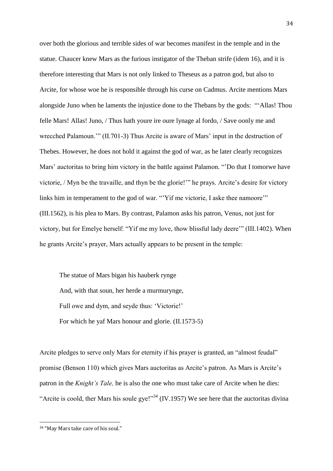over both the glorious and terrible sides of war becomes manifest in the temple and in the statue. Chaucer knew Mars as the furious instigator of the Theban strife (idem 16), and it is therefore interesting that Mars is not only linked to Theseus as a patron god, but also to Arcite, for whose woe he is responsible through his curse on Cadmus. Arcite mentions Mars alongside Juno when he laments the injustice done to the Thebans by the gods: "'Allas! Thou felle Mars! Allas! Juno, / Thus hath youre ire oure lynage al fordo, / Save oonly me and wrecched Palamoun.'" (II.701-3) Thus Arcite is aware of Mars' input in the destruction of Thebes. However, he does not hold it against the god of war, as he later clearly recognizes Mars' auctoritas to bring him victory in the battle against Palamon. "'Do that I tomorwe have victorie, / Myn be the travaille, and thyn be the glorie!'" he prays. Arcite's desire for victory links him in temperament to the god of war. "'Yif me victorie, I aske thee namoore'" (III.1562), is his plea to Mars. By contrast, Palamon asks his patron, Venus, not just for victory, but for Emelye herself: "Yif me my love, thow blissful lady deere'" (III.1402). When he grants Arcite's prayer, Mars actually appears to be present in the temple:

The statue of Mars bigan his hauberk rynge And, with that soun, her herde a murmurynge, Full owe and dym, and seyde thus: 'Victorie!' For which he yaf Mars honour and glorie. (II.1573-5)

Arcite pledges to serve only Mars for eternity if his prayer is granted, an "almost feudal" promise (Benson 110) which gives Mars auctoritas as Arcite's patron. As Mars is Arcite's patron in the *Knight's Tale,* he is also the one who must take care of Arcite when he dies: "Arcite is coold, ther Mars his soule gye!"<sup>34</sup> (IV.1957) We see here that the auctoritas divina

<sup>34</sup>

<sup>34</sup> "May Mars take care of his soul."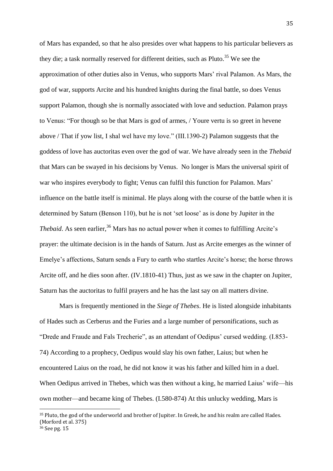of Mars has expanded, so that he also presides over what happens to his particular believers as they die; a task normally reserved for different deities, such as  $Pluto.<sup>35</sup>$  We see the approximation of other duties also in Venus, who supports Mars' rival Palamon. As Mars, the god of war, supports Arcite and his hundred knights during the final battle, so does Venus support Palamon, though she is normally associated with love and seduction. Palamon prays to Venus: "For though so be that Mars is god of armes, / Youre vertu is so greet in hevene above / That if yow list, I shal wel have my love." (III.1390-2) Palamon suggests that the goddess of love has auctoritas even over the god of war. We have already seen in the *Thebaid*  that Mars can be swayed in his decisions by Venus. No longer is Mars the universal spirit of war who inspires everybody to fight; Venus can fulfil this function for Palamon. Mars' influence on the battle itself is minimal. He plays along with the course of the battle when it is determined by Saturn (Benson 110), but he is not 'set loose' as is done by Jupiter in the *Thebaid*. As seen earlier,<sup>36</sup> Mars has no actual power when it comes to fulfilling Arcite's prayer: the ultimate decision is in the hands of Saturn. Just as Arcite emerges as the winner of Emelye's affections, Saturn sends a Fury to earth who startles Arcite's horse; the horse throws Arcite off, and he dies soon after. (IV.1810-41) Thus, just as we saw in the chapter on Jupiter, Saturn has the auctoritas to fulfil prayers and he has the last say on all matters divine.

Mars is frequently mentioned in the *Siege of Thebes*. He is listed alongside inhabitants of Hades such as Cerberus and the Furies and a large number of personifications, such as "Drede and Fraude and Fals Trecherie", as an attendant of Oedipus' cursed wedding. (I.853- 74) According to a prophecy, Oedipus would slay his own father, Laius; but when he encountered Laius on the road, he did not know it was his father and killed him in a duel. When Oedipus arrived in Thebes, which was then without a king, he married Laius' wife—his own mother—and became king of Thebes. (I.580-874) At this unlucky wedding, Mars is

<sup>&</sup>lt;sup>35</sup> Pluto, the god of the underworld and brother of Jupiter. In Greek, he and his realm are called Hades. (Morford et al. 375)

<sup>36</sup> See pg. 15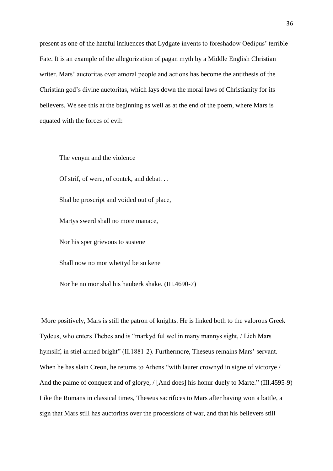present as one of the hateful influences that Lydgate invents to foreshadow Oedipus' terrible Fate. It is an example of the allegorization of pagan myth by a Middle English Christian writer. Mars' auctoritas over amoral people and actions has become the antithesis of the Christian god's divine auctoritas, which lays down the moral laws of Christianity for its believers. We see this at the beginning as well as at the end of the poem, where Mars is equated with the forces of evil:

The venym and the violence Of strif, of were, of contek, and debat. . . Shal be proscript and voided out of place, Martys swerd shall no more manace, Nor his sper grievous to sustene Shall now no mor whettyd be so kene Nor he no mor shal his hauberk shake. (III.4690-7)

More positively, Mars is still the patron of knights. He is linked both to the valorous Greek Tydeus, who enters Thebes and is "markyd ful wel in many mannys sight, / Lich Mars hymsilf, in stiel armed bright" (II.1881-2). Furthermore, Theseus remains Mars' servant. When he has slain Creon, he returns to Athens "with laurer crownyd in signe of victorye / And the palme of conquest and of glorye, / [And does] his honur duely to Marte." (III.4595-9) Like the Romans in classical times, Theseus sacrifices to Mars after having won a battle, a sign that Mars still has auctoritas over the processions of war, and that his believers still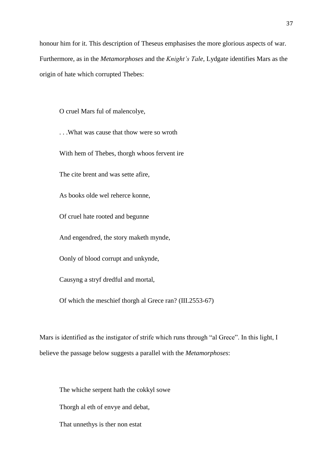honour him for it. This description of Theseus emphasises the more glorious aspects of war. Furthermore, as in the *Metamorphoses* and the *Knight's Tale,* Lydgate identifies Mars as the origin of hate which corrupted Thebes:

O cruel Mars ful of malencolye,

. . .What was cause that thow were so wroth

With hem of Thebes, thorgh whoos fervent ire

The cite brent and was sette afire,

As books olde wel reherce konne,

Of cruel hate rooted and begunne

And engendred, the story maketh mynde,

Oonly of blood corrupt and unkynde,

Causyng a stryf dredful and mortal,

Of which the meschief thorgh al Grece ran? (III.2553-67)

Mars is identified as the instigator of strife which runs through "al Grece". In this light, I believe the passage below suggests a parallel with the *Metamorphoses*:

The whiche serpent hath the cokkyl sowe Thorgh al eth of envye and debat, That unnethys is ther non estat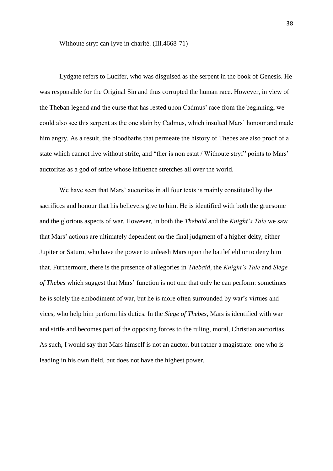Withoute stryf can lyve in charité. (III.4668-71)

Lydgate refers to Lucifer, who was disguised as the serpent in the book of Genesis. He was responsible for the Original Sin and thus corrupted the human race. However, in view of the Theban legend and the curse that has rested upon Cadmus' race from the beginning, we could also see this serpent as the one slain by Cadmus, which insulted Mars' honour and made him angry. As a result, the bloodbaths that permeate the history of Thebes are also proof of a state which cannot live without strife, and "ther is non estat / Withoute stryf" points to Mars' auctoritas as a god of strife whose influence stretches all over the world.

We have seen that Mars' auctoritas in all four texts is mainly constituted by the sacrifices and honour that his believers give to him. He is identified with both the gruesome and the glorious aspects of war. However, in both the *Thebaid* and the *Knight's Tale* we saw that Mars' actions are ultimately dependent on the final judgment of a higher deity, either Jupiter or Saturn, who have the power to unleash Mars upon the battlefield or to deny him that. Furthermore, there is the presence of allegories in *Thebaid,* the *Knight's Tale* and *Siege of Thebes* which suggest that Mars' function is not one that only he can perform: sometimes he is solely the embodiment of war, but he is more often surrounded by war's virtues and vices, who help him perform his duties. In the *Siege of Thebes,* Mars is identified with war and strife and becomes part of the opposing forces to the ruling, moral, Christian auctoritas. As such, I would say that Mars himself is not an auctor, but rather a magistrate: one who is leading in his own field, but does not have the highest power.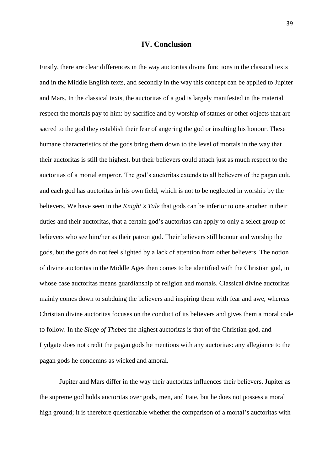### **IV. Conclusion**

Firstly, there are clear differences in the way auctoritas divina functions in the classical texts and in the Middle English texts, and secondly in the way this concept can be applied to Jupiter and Mars. In the classical texts, the auctoritas of a god is largely manifested in the material respect the mortals pay to him: by sacrifice and by worship of statues or other objects that are sacred to the god they establish their fear of angering the god or insulting his honour. These humane characteristics of the gods bring them down to the level of mortals in the way that their auctoritas is still the highest, but their believers could attach just as much respect to the auctoritas of a mortal emperor. The god's auctoritas extends to all believers of the pagan cult, and each god has auctoritas in his own field, which is not to be neglected in worship by the believers. We have seen in the *Knight's Tale* that gods can be inferior to one another in their duties and their auctoritas, that a certain god's auctoritas can apply to only a select group of believers who see him/her as their patron god. Their believers still honour and worship the gods, but the gods do not feel slighted by a lack of attention from other believers. The notion of divine auctoritas in the Middle Ages then comes to be identified with the Christian god, in whose case auctoritas means guardianship of religion and mortals. Classical divine auctoritas mainly comes down to subduing the believers and inspiring them with fear and awe, whereas Christian divine auctoritas focuses on the conduct of its believers and gives them a moral code to follow. In the *Siege of Thebes* the highest auctoritas is that of the Christian god, and Lydgate does not credit the pagan gods he mentions with any auctoritas: any allegiance to the pagan gods he condemns as wicked and amoral.

Jupiter and Mars differ in the way their auctoritas influences their believers. Jupiter as the supreme god holds auctoritas over gods, men, and Fate, but he does not possess a moral high ground; it is therefore questionable whether the comparison of a mortal's auctoritas with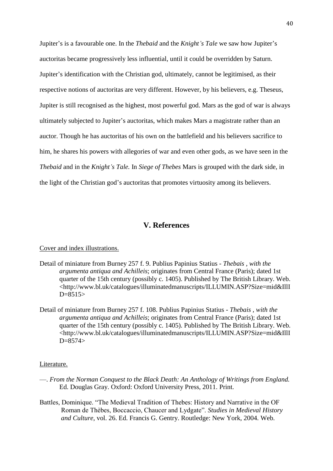Jupiter's is a favourable one. In the *Thebaid* and the *Knight's Tale* we saw how Jupiter's auctoritas became progressively less influential, until it could be overridden by Saturn. Jupiter's identification with the Christian god, ultimately, cannot be legitimised, as their respective notions of auctoritas are very different. However, by his believers, e.g. Theseus, Jupiter is still recognised as the highest, most powerful god. Mars as the god of war is always ultimately subjected to Jupiter's auctoritas, which makes Mars a magistrate rather than an auctor. Though he has auctoritas of his own on the battlefield and his believers sacrifice to him, he shares his powers with allegories of war and even other gods, as we have seen in the *Thebaid* and in the *Knight's Tale.* In *Siege of Thebes* Mars is grouped with the dark side, in the light of the Christian god's auctoritas that promotes virtuosity among its believers.

## **V. References**

#### Cover and index illustrations.

- Detail of miniature from Burney 257 f. 9. Publius Papinius Statius *Thebais , with the argumenta antiqua and Achilleis*; originates from Central France (Paris); dated 1st quarter of the 15th century (possibly c. 1405). Published by The British Library. Web. <http://www.bl.uk/catalogues/illuminatedmanuscripts/ILLUMIN.ASP?Size=mid&IllI  $D=8515$
- Detail of miniature from Burney 257 f. 108. Publius Papinius Statius *Thebais , with the argumenta antiqua and Achilleis*; originates from Central France (Paris); dated 1st quarter of the 15th century (possibly c. 1405). Published by The British Library. Web. <http://www.bl.uk/catalogues/illuminatedmanuscripts/ILLUMIN.ASP?Size=mid&IllI  $D=8574>$

#### Literature.

- —. *From the Norman Conquest to the Black Death: An Anthology of Writings from England.*  Ed. Douglas Gray. Oxford: Oxford University Press, 2011. Print.
- Battles, Dominique. "The Medieval Tradition of Thebes: History and Narrative in the OF Roman de Thèbes, Boccaccio, Chaucer and Lydgate". *Studies in Medieval History and Culture*, vol. 26. Ed. Francis G. Gentry. Routledge: New York, 2004. Web.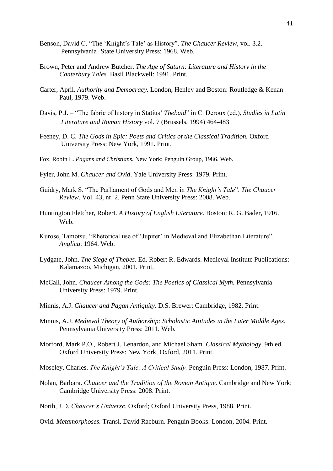- Benson, David C. "The 'Knight's Tale' as History". *The Chaucer Review,* vol. 3.2. Pennsylvania State University Press: 1968. Web.
- Brown, Peter and Andrew Butcher. *The Age of Saturn: Literature and History in the Canterbury Tales.* Basil Blackwell: 1991. Print.
- Carter, April. *Authority and Democracy.* London, Henley and Boston: Routledge & Kenan Paul, 1979. Web.
- Davis, P.J. "The fabric of history in Statius' *Thebaid*" in C. Deroux (ed.), *Studies in Latin Literature and Roman History* vol. 7 (Brussels, 1994) 464-483
- Feeney, D. C. *The Gods in Epic: Poets and Critics of the Classical Tradition.* Oxford University Press: New York, 1991. Print.
- Fox, Robin L. *Pagans and Christians.* New York: Penguin Group, 1986. Web.
- Fyler, John M. *Chaucer and Ovid*. Yale University Press: 1979. Print.
- Guidry, Mark S. "The Parliament of Gods and Men in *The Knight's Tale*". *The Chaucer Review*. Vol. 43, nr. 2. Penn State University Press: 2008. Web.
- Huntington Fletcher, Robert. *A History of English Literature.* Boston: R. G. Bader, 1916. Web.
- Kurose, Tamotsu. "Rhetorical use of 'Jupiter' in Medieval and Elizabethan Literature". *Anglica*: 1964. Web.
- Lydgate, John. *The Siege of Thebes.* Ed. Robert R. Edwards. Medieval Institute Publications: Kalamazoo, Michigan, 2001. Print.
- McCall, John. *Chaucer Among the Gods: The Poetics of Classical Myth.* Pennsylvania University Press: 1979. Print.
- Minnis, A.J. *Chaucer and Pagan Antiquity.* D.S. Brewer: Cambridge, 1982. Print.
- Minnis, A.J. *Medieval Theory of Authorship: Scholastic Attitudes in the Later Middle Ages.* Pennsylvania University Press: 2011. Web.
- Morford, Mark P.O., Robert J. Lenardon, and Michael Sham. *Classical Mythology*. 9th ed. Oxford University Press: New York, Oxford, 2011. Print.
- Moseley, Charles. *The Knight's Tale: A Critical Study.* Penguin Press: London, 1987. Print.
- Nolan, Barbara. *Chaucer and the Tradition of the Roman Antique.* Cambridge and New York: Cambridge University Press: 2008. Print.
- North, J.D. *Chaucer's Universe.* Oxford; Oxford University Press, 1988. Print.
- Ovid. *Metamorphoses.* Transl. David Raeburn. Penguin Books: London, 2004. Print.